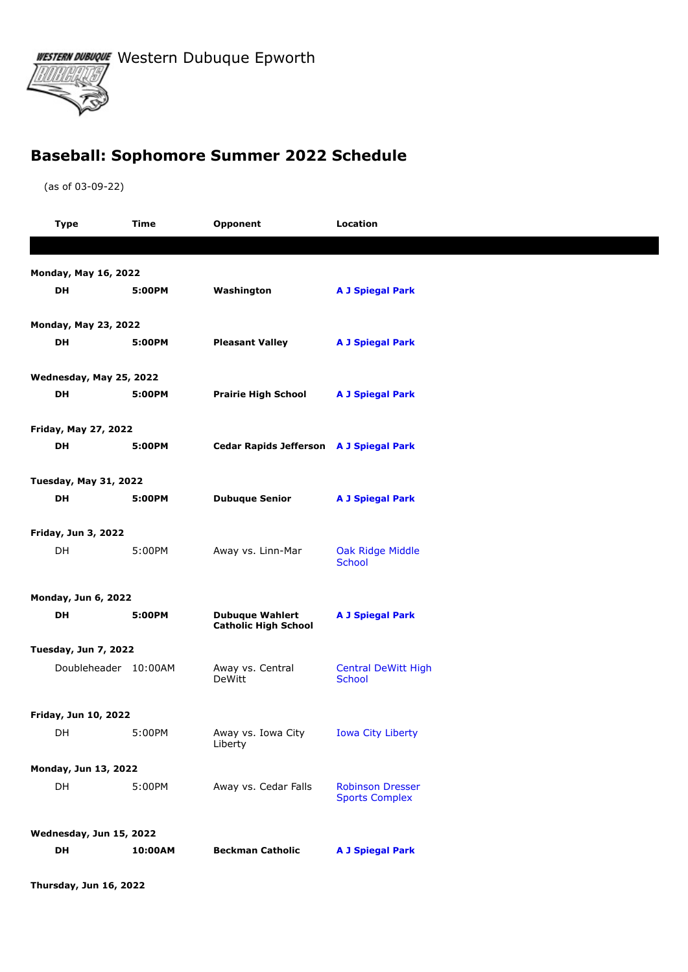WESTERN DUBUQUE Western Dubuque Epworth

## **Baseball: Sophomore Summer 2022 Schedule**

(as of 03-09-22)

|                                                                                                | <b>Type</b>                 | Time   | Opponent                                           | <b>Location</b>                                  |  |  |
|------------------------------------------------------------------------------------------------|-----------------------------|--------|----------------------------------------------------|--------------------------------------------------|--|--|
|                                                                                                |                             |        |                                                    |                                                  |  |  |
| <b>Monday, May 16, 2022</b>                                                                    |                             |        |                                                    |                                                  |  |  |
|                                                                                                | DH                          | 5:00PM | Washington                                         | <b>A J Spiegal Park</b>                          |  |  |
|                                                                                                |                             |        |                                                    |                                                  |  |  |
| Monday, May 23, 2022                                                                           |                             |        |                                                    |                                                  |  |  |
|                                                                                                | DH                          | 5:00PM | <b>Pleasant Valley</b>                             | <b>A J Spiegal Park</b>                          |  |  |
| Wednesday, May 25, 2022                                                                        |                             |        |                                                    |                                                  |  |  |
|                                                                                                | DH                          | 5:00PM | <b>Prairie High School</b>                         | <b>A J Spiegal Park</b>                          |  |  |
|                                                                                                |                             |        |                                                    |                                                  |  |  |
|                                                                                                | Friday, May 27, 2022<br>DH  | 5:00PM | <b>Cedar Rapids Jefferson</b> A J Spiegal Park     |                                                  |  |  |
|                                                                                                |                             |        |                                                    |                                                  |  |  |
| <b>Tuesday, May 31, 2022</b>                                                                   |                             |        |                                                    |                                                  |  |  |
|                                                                                                | DH                          | 5:00PM | <b>Dubuque Senior</b>                              | <b>A J Spiegal Park</b>                          |  |  |
|                                                                                                | <b>Friday, Jun 3, 2022</b>  |        |                                                    |                                                  |  |  |
|                                                                                                | DH                          | 5:00PM | Away vs. Linn-Mar                                  | Oak Ridge Middle                                 |  |  |
|                                                                                                |                             |        |                                                    | <b>School</b>                                    |  |  |
| <b>Monday, Jun 6, 2022</b>                                                                     |                             |        |                                                    |                                                  |  |  |
|                                                                                                | DH                          | 5:00PM | <b>Dubuque Wahlert</b>                             | <b>A J Spiegal Park</b>                          |  |  |
|                                                                                                |                             |        | <b>Catholic High School</b>                        |                                                  |  |  |
|                                                                                                | <b>Tuesday, Jun 7, 2022</b> |        |                                                    |                                                  |  |  |
|                                                                                                | Doubleheader 10:00AM        |        | Away vs. Central<br><b>DeWitt</b>                  | <b>Central DeWitt High</b><br><b>School</b>      |  |  |
|                                                                                                |                             |        |                                                    |                                                  |  |  |
|                                                                                                | Friday, Jun 10, 2022        |        |                                                    |                                                  |  |  |
|                                                                                                | DH                          | 5:00PM | Away vs. Iowa City    Iowa City Liberty<br>Liberty |                                                  |  |  |
| Monday, Jun 13, 2022                                                                           |                             |        |                                                    |                                                  |  |  |
|                                                                                                | DH                          | 5:00PM | Away vs. Cedar Falls                               | <b>Robinson Dresser</b><br><b>Sports Complex</b> |  |  |
|                                                                                                |                             |        |                                                    |                                                  |  |  |
| Wednesday, Jun 15, 2022<br>DH<br>10:00AM<br><b>Beckman Catholic</b><br><b>A J Spiegal Park</b> |                             |        |                                                    |                                                  |  |  |
|                                                                                                |                             |        |                                                    |                                                  |  |  |

**Thursday, Jun 16, 2022**